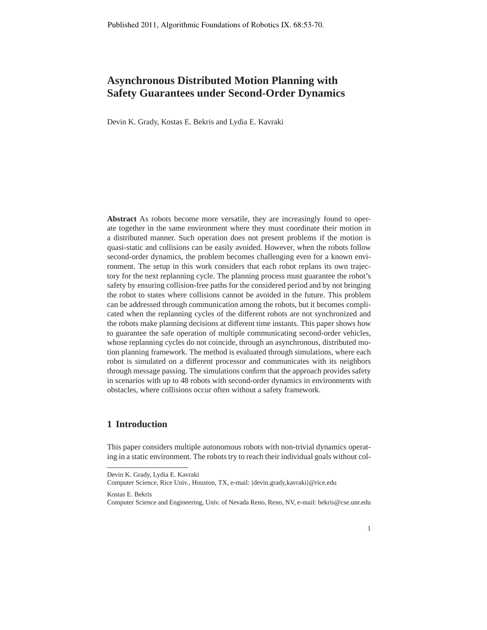# **Asynchronous Distributed Motion Planning with Safety Guarantees under Second-Order Dynamics**

Devin K. Grady, Kostas E. Bekris and Lydia E. Kavraki

**Abstract** As robots become more versatile, they are increasingly found to operate together in the same environment where they must coordinate their motion in a distributed manner. Such operation does not present problems if the motion is quasi-static and collisions can be easily avoided. However, when the robots follow second-order dynamics, the problem becomes challenging even for a known environment. The setup in this work considers that each robot replans its own trajectory for the next replanning cycle. The planning process must guarantee the robot's safety by ensuring collision-free paths for the considered period and by not bringing the robot to states where collisions cannot be avoided in the future. This problem can be addressed through communication among the robots, but it becomes complicated when the replanning cycles of the different robots are not synchronized and the robots make planning decisions at different time instants. This paper shows how to guarantee the safe operation of multiple communicating second-order vehicles, whose replanning cycles do not coincide, through an asynchronous, distributed motion planning framework. The method is evaluated through simulations, where each robot is simulated on a different processor and communicates with its neighbors through message passing. The simulations confirm that the approach provides safety in scenarios with up to 48 robots with second-order dynamics in environments with obstacles, where collisions occur often without a safety framework.

# **1 Introduction**

This paper considers multiple autonomous robots with non-trivial dynamics operating in a static environment. The robots try to reach their individual goals without col-

Kostas E. Bekris

Devin K. Grady, Lydia E. Kavraki

Computer Science, Rice Univ., Houston, TX, e-mail: {devin.grady,kavraki}@rice.edu

Computer Science and Engineering, Univ. of Nevada Reno, Reno, NV, e-mail: bekris@cse.unr.edu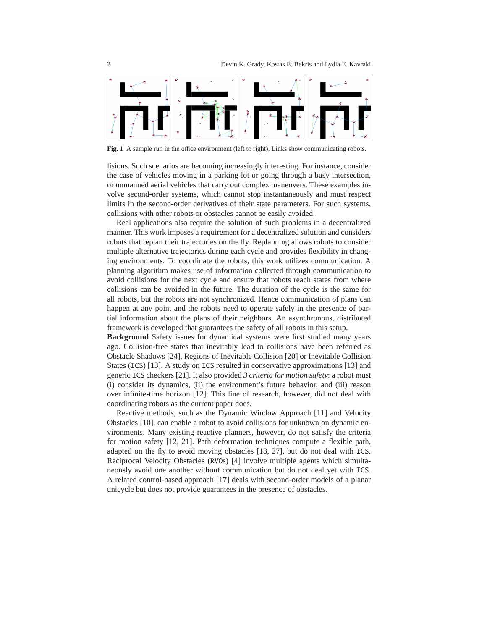

**Fig. 1** A sample run in the office environment (left to right). Links show communicating robots.

lisions. Such scenarios are becoming increasingly interesting. For instance, consider the case of vehicles moving in a parking lot or going through a busy intersection, or unmanned aerial vehicles that carry out complex maneuvers. These examples involve second-order systems, which cannot stop instantaneously and must respect limits in the second-order derivatives of their state parameters. For such systems, collisions with other robots or obstacles cannot be easily avoided.

Real applications also require the solution of such problems in a decentralized manner. This work imposes a requirement for a decentralized solution and considers robots that replan their trajectories on the fly. Replanning allows robots to consider multiple alternative trajectories during each cycle and provides flexibility in changing environments. To coordinate the robots, this work utilizes communication. A planning algorithm makes use of information collected through communication to avoid collisions for the next cycle and ensure that robots reach states from where collisions can be avoided in the future. The duration of the cycle is the same for all robots, but the robots are not synchronized. Hence communication of plans can happen at any point and the robots need to operate safely in the presence of partial information about the plans of their neighbors. An asynchronous, distributed framework is developed that guarantees the safety of all robots in this setup.

**Background** Safety issues for dynamical systems were first studied many years ago. Collision-free states that inevitably lead to collisions have been referred as Obstacle Shadows [24], Regions of Inevitable Collision [20] or Inevitable Collision States (ICS) [13]. A study on ICS resulted in conservative approximations [13] and generic ICS checkers [21]. It also provided *3 criteria for motion safety*: a robot must (i) consider its dynamics, (ii) the environment's future behavior, and (iii) reason over infinite-time horizon [12]. This line of research, however, did not deal with coordinating robots as the current paper does.

Reactive methods, such as the Dynamic Window Approach [11] and Velocity Obstacles [10], can enable a robot to avoid collisions for unknown on dynamic environments. Many existing reactive planners, however, do not satisfy the criteria for motion safety [12, 21]. Path deformation techniques compute a flexible path, adapted on the fly to avoid moving obstacles [18, 27], but do not deal with ICS. Reciprocal Velocity Obstacles (RVOs) [4] involve multiple agents which simultaneously avoid one another without communication but do not deal yet with ICS. A related control-based approach [17] deals with second-order models of a planar unicycle but does not provide guarantees in the presence of obstacles.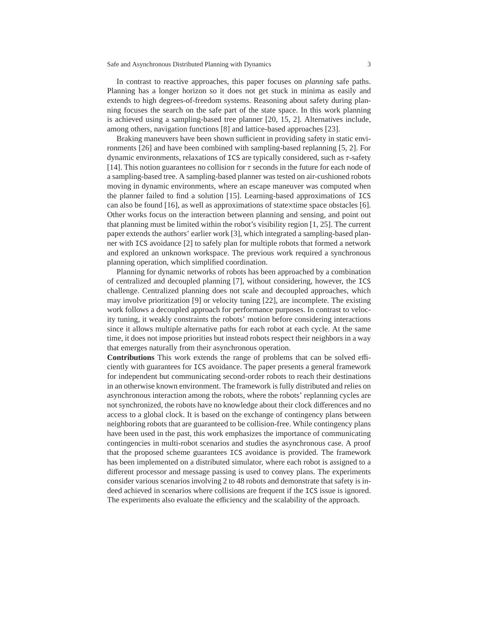In contrast to reactive approaches, this paper focuses on *planning* safe paths. Planning has a longer horizon so it does not get stuck in minima as easily and extends to high degrees-of-freedom systems. Reasoning about safety during planning focuses the search on the safe part of the state space. In this work planning is achieved using a sampling-based tree planner [20, 15, 2]. Alternatives include, among others, navigation functions [8] and lattice-based approaches [23].

Braking maneuvers have been shown sufficient in providing safety in static environments [26] and have been combined with sampling-based replanning [5, 2]. For dynamic environments, relaxations of ICS are typically considered, such as  $\tau$ -safety [14]. This notion guarantees no collision for  $\tau$  seconds in the future for each node of a sampling-based tree. A sampling-based planner was tested on air-cushioned robots moving in dynamic environments, where an escape maneuver was computed when the planner failed to find a solution [15]. Learning-based approximations of ICS can also be found  $[16]$ , as well as approximations of state×time space obstacles  $[6]$ . Other works focus on the interaction between planning and sensing, and point out that planning must be limited within the robot's visibility region [1, 25]. The current paper extends the authors' earlier work [3], which integrated a sampling-based planner with ICS avoidance [2] to safely plan for multiple robots that formed a network and explored an unknown workspace. The previous work required a synchronous planning operation, which simplified coordination.

Planning for dynamic networks of robots has been approached by a combination of centralized and decoupled planning [7], without considering, however, the ICS challenge. Centralized planning does not scale and decoupled approaches, which may involve prioritization [9] or velocity tuning [22], are incomplete. The existing work follows a decoupled approach for performance purposes. In contrast to velocity tuning, it weakly constraints the robots' motion before considering interactions since it allows multiple alternative paths for each robot at each cycle. At the same time, it does not impose priorities but instead robots respect their neighbors in a way that emerges naturally from their asynchronous operation.

**Contributions** This work extends the range of problems that can be solved efficiently with guarantees for ICS avoidance. The paper presents a general framework for independent but communicating second-order robots to reach their destinations in an otherwise known environment. The framework is fully distributed and relies on asynchronous interaction among the robots, where the robots' replanning cycles are not synchronized, the robots have no knowledge about their clock differences and no access to a global clock. It is based on the exchange of contingency plans between neighboring robots that are guaranteed to be collision-free. While contingency plans have been used in the past, this work emphasizes the importance of communicating contingencies in multi-robot scenarios and studies the asynchronous case. A proof that the proposed scheme guarantees ICS avoidance is provided. The framework has been implemented on a distributed simulator, where each robot is assigned to a different processor and message passing is used to convey plans. The experiments consider various scenarios involving 2 to 48 robots and demonstrate that safety is indeed achieved in scenarios where collisions are frequent if the ICS issue is ignored. The experiments also evaluate the efficiency and the scalability of the approach.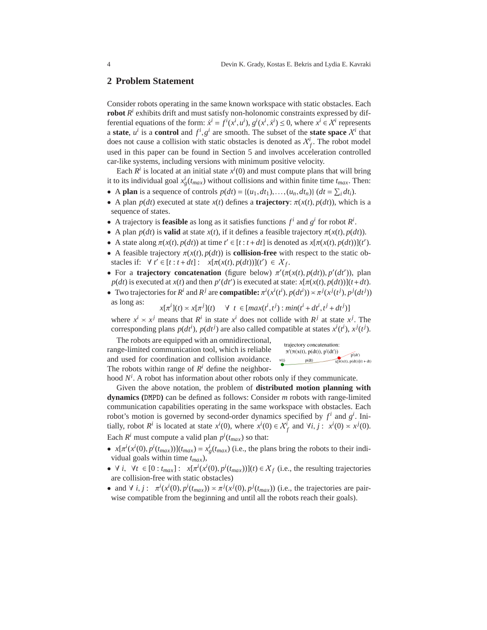#### **2 Problem Statement**

Consider robots operating in the same known workspace with static obstacles. Each robot  $R^i$  exhibits drift and must satisfy non-holonomic constraints expressed by differential equations of the form:  $\dot{x}^i = f^i(x^i, u^i)$ ,  $g^i(x^i, \dot{x}^i) \le 0$ , where  $x^i \in \mathcal{X}^i$  represents a **state**,  $u^i$  is a **control** and  $f^i$ ,  $g^i$  are smooth. The subset of the **state space**  $X^i$  that does not cause a collision with static obstacles is denoted as  $\mathcal{X}_{f}^{i}$ . The robot model used in this paper can be found in Section 5 and involves acceleration controlled car-like systems, including versions with minimum positive velocity.

Each  $R^i$  is located at an initial state  $x^i(0)$  and must compute plans that will bring it to its individual goal  $x_g^i(t_{max})$  without collisions and within finite time  $t_{max}$ . Then:

- A **plan** is a sequence of controls  $p(dt) = \{(u_1, dt_1), \ldots, (u_n, dt_n)\}$  ( $dt = \sum_i dt_i$ ).
- A plan  $p(dt)$  executed at state  $x(t)$  defines a **trajectory**:  $\pi(x(t), p(dt)$ , which is a sequence of states.
- A trajectory is **feasible** as long as it satisfies functions  $f^i$  and  $g^i$  for robot  $R^i$ .
- A plan  $p(dt)$  is **valid** at state  $x(t)$ , if it defines a feasible trajectory  $\pi(x(t), p(dt)$ .
- A state along  $\pi(x(t), p(dt))$  at time  $t' \in [t : t + dt]$  is denoted as  $x[\pi(x(t), p(dt))]$ (*t*').
- A feasible trajectory  $\pi(x(t), p(dt))$  is **collision-free** with respect to the static obstacles if:  $\forall t' \in [t : t + dt] : x[\pi(x(t), p(dt))]$  $(t') \in X_f$ .
- For a **trajectory concatenation** (figure below)  $\pi'(\pi(x(t), p(dt)), p'(dt'))$ , plan  $p(dt)$  is executed at *x*(*t*) and then  $p'(dt')$  is executed at state:  $x[\pi(x(t), p(dt))]$ (*t*+*dt*).
- Two trajectories for  $R^i$  and  $R^j$  are **compatible:**  $\pi^i(x^i(t^i), p(dt^i)) \approx \pi^j(x^j(t^j), p^j(dt^j))$ as long as:

$$
x[\pi^i](t) \asymp x[\pi^j](t) \quad \forall \ t \in [max(t^i, t^j): min(t^i + dt^i, t^j + dt^j)]
$$

where  $x^i \approx x^j$  means that  $R^i$  in state  $x^i$  does not collide with  $R^j$  at state  $x^j$ . The corresponding plans  $p(dt^i)$ ,  $p(dt^j)$  are also called compatible at states  $x^i(t^i)$ ,  $x^j(t^j)$ .

The robots are equipped with an omnidirectional, range-limited communication tool, which is reliable and used for coordination and collision avoidance. The robots within range of  $R^i$  define the neighbor-

|      | trajectory concatenation:         |                                |
|------|-----------------------------------|--------------------------------|
|      | $\pi'(\pi(x(t), p(dt)), p'(dt'))$ | $\overline{p'(dt')}$           |
| x(t) | p(dt)                             | $x[\pi(x(t), p(dt))]$ (t + dt) |

hood  $N^i$ . A robot has information about other robots only if they communicate.

Given the above notation, the problem of **distributed motion planning with dynamics (**DMPD**)** can be defined as follows: Consider *m* robots with range-limited communication capabilities operating in the same workspace with obstacles. Each robot's motion is governed by second-order dynamics specified by  $f^i$  and  $g^i$ . Initially, robot  $R^i$  is located at state  $x^i(0)$ , where  $x^i(0) \in X_f^i$  and  $\forall i, j : x^i(0) \times x^j(0)$ .

Each  $R^i$  must compute a valid plan  $p^i(t_{max})$  so that:

- $x[\pi^i(x^i(0), p^i(t_{max}))](t_{max}) = x_g^i(t_{max})$  (i.e., the plans bring the robots to their individual goals within time *tmax*),
- $\bullet$  ∀ *i*, ∀*t* ∈ [0 : *t<sub>max</sub>*] : *x*[ $\pi$ <sup>*i*</sup>( $x$ <sup>*i*</sup>(0),  $p$ <sup>*i*</sup>( $t$ <sub>*max*</sub>))](*t*) ∈  $X_f$  (i.e., the resulting trajectories are collision-free with static obstacles)
- and  $\forall i, j$ :  $\pi^{i}(x^{i}(0), p^{i}(t_{max})) \approx \pi^{j}(x^{j}(0), p^{j}(t_{max}))$  (i.e., the trajectories are pairwise compatible from the beginning and until all the robots reach their goals).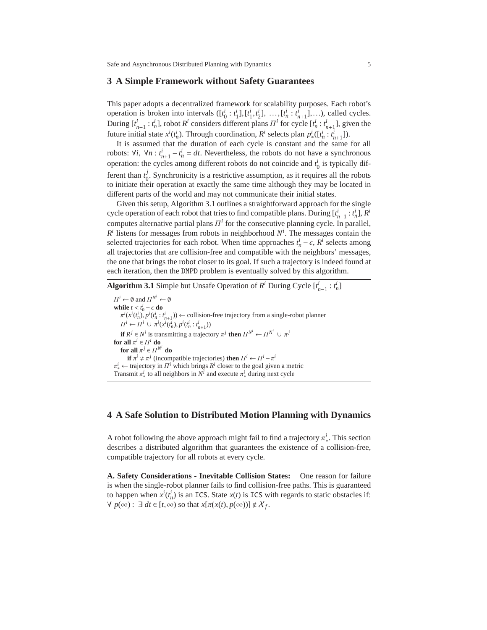#### **3 A Simple Framework without Safety Guarantees**

This paper adopts a decentralized framework for scalability purposes. Each robot's operation is broken into intervals  $([t_0^i : t_1^i], [t_1^i, t_2^i], \ldots, [t_n^i : t_{n+1}^i], \ldots)$ , called cycles. During  $[t_{n-1}^i : t_n^i]$ , robot  $R^i$  considers different plans  $\Pi^i$  for cycle  $[t_n^i : t_{n+1}^i]$ , given the future initial state  $x^{i}(t_{n}^{i})$ . Through coordination,  $R^{i}$  selects plan  $p_{*}^{i}$  $^{i}_{*}([t_{n}^{i}:t_{n+1}^{i}]).$ 

It is assumed that the duration of each cycle is constant and the same for all robots:  $\forall i$ ,  $\forall n : t_{n+1}^i - t_n^i = dt$ . Nevertheless, the robots do not have a synchronous operation: the cycles among different robots do not coincide and  $t_0^i$  is typically different than  $t_0^j$  $\int_0^1$ . Synchronicity is a restrictive assumption, as it requires all the robots to initiate their operation at exactly the same time although they may be located in different parts of the world and may not communicate their initial states.

Given this setup, Algorithm 3.1 outlines a straightforward approach for the single cycle operation of each robot that tries to find compatible plans. During  $[t_{n-1}^i : t_n^i]$ ,  $R^i$ computes alternative partial plans  $\Pi^i$  for the consecutive planning cycle. In parallel,  $R^i$  listens for messages from robots in neighborhood  $N^i$ . The messages contain the selected trajectories for each robot. When time approaches  $t_n^i - \epsilon$ ,  $R^i$  selects among all trajectories that are collision-free and compatible with the neighbors' messages, the one that brings the robot closer to its goal. If such a trajectory is indeed found at each iteration, then the DMPD problem is eventually solved by this algorithm.

# **Algorithm 3.1** Simple but Unsafe Operation of  $R^i$  During Cycle  $[t_{n-1}^i : t_n^i]$

 $\Pi^i \leftarrow \emptyset$  and  $\Pi^{N^i} \leftarrow \emptyset$ **while**  $t < t_n^i - \epsilon$  **do**  $\pi^i(x^i(t_n^i), p^i(t_n^i : t_{n+1}^i)) \leftarrow$  collision-free trajectory from a single-robot planner  $\Pi^i \leftarrow \Pi^i \cup \pi^i(x^i(t_n^i), p^i(t_n^i : t_{n+1}^i))$ **if**  $R^j \in N^i$  is transmitting a trajectory  $\pi^j$  **then**  $\Pi^{N^i} \leftarrow \Pi^{N^i} \cup \pi^j$ **for all**  $\pi^i \in \Pi^i$  **do for all**  $\pi^{j} \in \Pi^{N^{i}}$  **do if**  $\pi^{i} \neq \pi^{j}$  (incompatible trajectories) **then**  $\Pi^{i} \leftarrow \Pi^{i} - \pi^{i}$  $\pi^i$  ← trajectory in  $\Pi^i$  which brings  $R^i$  closer to the goal given a metric Transmit  $\pi^i_*$  to all neighbors in  $N^i$  and execute  $\pi^i_*$  during next cycle

#### **4 A Safe Solution to Distributed Motion Planning with Dynamics**

A robot following the above approach might fail to find a trajectory π *i* . This section describes a distributed algorithm that guarantees the existence of a collision-free, compatible trajectory for all robots at every cycle.

**A. Safety Considerations - Inevitable Collision States:** One reason for failure is when the single-robot planner fails to find collision-free paths. This is guaranteed to happen when  $x^i(t_n^i)$  is an ICS. State  $x(t)$  is ICS with regards to static obstacles if:  $\forall p(\infty) : \exists dt \in [t, \infty) \text{ so that } x[\pi(x(t), p(\infty))] \notin \mathcal{X}_f.$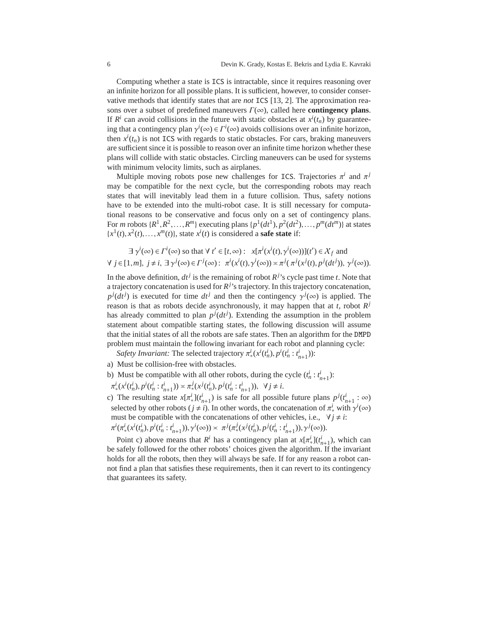Computing whether a state is ICS is intractable, since it requires reasoning over an infinite horizon for all possible plans. It is sufficient, however, to consider conservative methods that identify states that are *not* ICS [13, 2]. The approximation reasons over a subset of predefined maneuvers  $\Gamma(\infty)$ , called here **contingency plans**. If  $R^i$  can avoid collisions in the future with static obstacles at  $x^i(t_n)$  by guaranteeing that a contingency plan  $\gamma^i(\infty) \in \Gamma^i(\infty)$  avoids collisions over an infinite horizon, then  $x^i(t_n)$  is not ICS with regards to static obstacles. For cars, braking maneuvers are sufficient since it is possible to reason over an infinite time horizon whether these plans will collide with static obstacles. Circling maneuvers can be used for systems with minimum velocity limits, such as airplanes.

Multiple moving robots pose new challenges for ICS. Trajectories  $\pi^{i}$  and  $\pi^{j}$ may be compatible for the next cycle, but the corresponding robots may reach states that will inevitably lead them in a future collision. Thus, safety notions have to be extended into the multi-robot case. It is still necessary for computational reasons to be conservative and focus only on a set of contingency plans. For *m* robots  $\{R^1, R^2, \ldots, R^m\}$  executing plans  $\{p^1(dt^1), p^2(dt^2), \ldots, p^m(dt^m)\}$  at states  ${x<sup>1</sup>(t), x<sup>2</sup>(t),..., x<sup>m</sup>(t)}$ , state  $x<sup>i</sup>(t)$  is considered a **safe state** if:

$$
\exists \gamma^i(\infty) \in \Gamma^i(\infty) \text{ so that } \forall t' \in [t, \infty): \ x[\pi^i(x^i(t), \gamma^i(\infty))](t') \in \mathcal{X}_f \text{ and}
$$
  

$$
\forall j \in [1, m], j \neq i, \ \exists \gamma^j(\infty) \in \Gamma^j(\infty): \ \pi^i(x^i(t), \gamma^i(\infty)) \asymp \pi^j(\pi^j(x^j(t), p^j(dt^j)), \ \gamma^j(\infty)).
$$

In the above definition,  $dt^j$  is the remaining of robot  $R^j$ 's cycle past time *t*. Note that a trajectory concatenation is used for  $R<sup>j</sup>$ 's trajectory. In this trajectory concatenation,  $p^{j}(dt^{j})$  is executed for time  $dt^{j}$  and then the contingency  $\gamma^{j}(\infty)$  is applied. The reason is that as robots decide asynchronously, it may happen that at *t*, robot  $R^{j}$ has already committed to plan  $p^{j}(dt^{j})$ . Extending the assumption in the problem statement about compatible starting states, the following discussion will assume that the initial states of all the robots are safe states. Then an algorithm for the DMPD problem must maintain the following invariant for each robot and planning cycle:

*Safety Invariant:* The selected trajectory π *i*  $\frac{i}{\sqrt{n}}(x^i(t_n^i), p^i(t_n^i : t_{n+1}^i))$ :

- a) Must be collision-free with obstacles.
- b) Must be compatible with all other robots, during the cycle  $(t_n^i : t_{n+1}^i)$ :

 $\pi^i_\ast$  $\pi^i(x^i(t^i_n), p^i(t^i_n : t^i_{n+1})) \asymp \pi^j$ *y*<sup>*i*</sup>(*t*<sup>*i*</sup><sub>*n*</sub>), *p<sup><i>j*</sup>(*t*<sub>*i*<sup>*i*</sup><sub>*i*</sub></sub>), *∀<sub><i>j* ≠ *i*.</sub>

c) The resulting state  $x[\pi_s^i]$  $\mathcal{L}^{i}$  and  $\mathcal{L}^{i}$  is safe for all possible future plans  $p^{j}(t^{i}_{n+1}: \infty)$ selected by other robots ( $j \neq i$ ). In other words, the concatenation of  $\pi^i_*$  with  $\gamma^i(\infty)$ must be compatible with the concatenations of other vehicles, i.e.,  $\forall j \neq i$ :

 $\pi^i(\pi^i_*$  $\mathcal{L}^{i}_{*}(x^{i}(t^{i}_{n}), p^{i}(t^{i}_{n}: t^{i}_{n+1})), \gamma^{i}(\infty)) \times \pi^{j}(\pi^{j}_{*})$  $\gamma^j(x^j(t_n^i), p^j(t_n^i : t_{n+1}^i)), \gamma^j(\infty)).$ 

Point c) above means that  $R^i$  has a contingency plan at  $x[\pi^i]$  $\prod_{i=1}^{i} (t_{n+1}^i)$ , which can be safely followed for the other robots' choices given the algorithm. If the invariant holds for all the robots, then they will always be safe. If for any reason a robot cannot find a plan that satisfies these requirements, then it can revert to its contingency that guarantees its safety.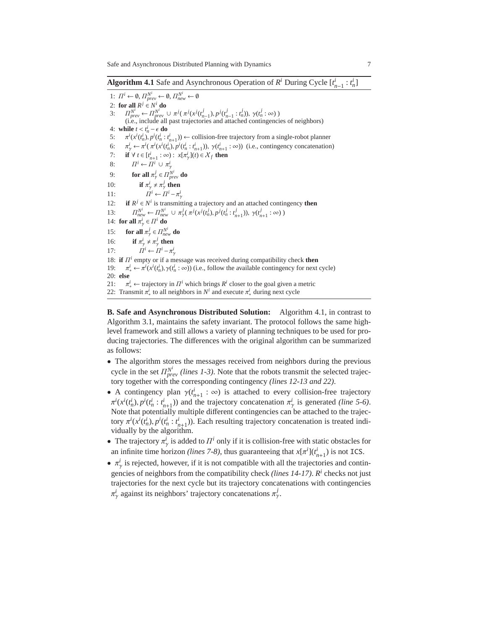**Algorithm 4.1** Safe and Asynchronous Operation of  $R^i$  During Cycle  $[t_{n-1}^i : t_n^i]$ 

1:  $\Pi^i \leftarrow \emptyset$ ,  $\Pi_{prev}^{N^i} \leftarrow \emptyset$ ,  $\Pi_{new}^{N^i} \leftarrow \emptyset$ 2: **for all**  $R^j \in N^i$  **do** 3:  $\Pi_{prev}^{N^i} \leftarrow \Pi_{prev}^{N^i} \cup \pi^j(\pi^j(x^j(t_{n-1}^j), p^j(t_{n-1}^j : t_n^j)), \gamma(t_n^j : \infty))$ (i.e., include all past trajectories and attached contingencies of neighbors) 4: **while**  $t < t_n^i - \epsilon$  **do** 5:  $\pi^i(x^i(t_n^i), p^i(t_n^i : t_{n+1}^i)) \leftarrow$  collision-free trajectory from a single-robot planner 6:  $\pi^i_\gamma \leftarrow \pi^i(\pi^i(x^i(t^i_n), p^i(t^i_n : t^i_{n+1})), \gamma(t^i_{n+1} : \infty))$  (i.e., contingency concatenation) 7: **if**  $\forall$  *t*  $\in$   $[t_{n+1}^i : \infty)$ :  $x[\pi_{\gamma}^i](t) \in \mathcal{X}_f$  then 8:  $\Pi^i \leftarrow \Pi^i \cup \pi^i_\gamma$ 9: **for all**  $\pi_{\gamma}^{j} \in \Pi_{prev}^{N^{i}}$  **do** 10: **if**  $\pi^i_\gamma \neq \pi^j_\gamma$  then  $11:$  $i$  ←  $\Pi^i - \pi^i_\gamma$ 12: **if**  $R^j \in N^i$  is transmitting a trajectory and an attached contingency **then** 13:  $\Pi_{new}^{N^i} \leftarrow \Pi_{new}^{N^i} \cup \pi_{\gamma}^j(\pi^j(x^j(t^j_n), p^j(t^j_n : t^j_{n+1})), \gamma(t^j_{n+1} : \infty))$ 14: **for all**  $\pi^i_\gamma \in \Pi^i$  **do** 15: **for all**  $\pi_{\gamma}^{j} \in \Pi_{new}^{N^{i}}$  **do** 16: **if**  $\pi^i_\gamma \neq \pi^j_\gamma$  then  $17:$  $i$  ←  $\Pi^i - \pi^i_\gamma$ 18: **if**  $\Pi^i$  empty or if a message was received during compatibility check **then** 19:  $\pi^i_* \leftarrow \pi^i(x^i(t^i_n), \gamma(t^i_n : \infty))$  (i.e., follow the available contingency for next cycle) 20: **else**  $21:$  $\vec{i}$  ← trajectory in  $\Pi^i$  which brings  $R^i$  closer to the goal given a metric 22: Transmit  $\pi^i_*$  to all neighbors in  $N^i$  and execute  $\pi^i_*$  during next cycle

**B. Safe and Asynchronous Distributed Solution:** Algorithm 4.1, in contrast to Algorithm 3.1, maintains the safety invariant. The protocol follows the same highlevel framework and still allows a variety of planning techniques to be used for producing trajectories. The differences with the original algorithm can be summarized as follows:

- The algorithm stores the messages received from neighbors during the previous cycle in the set  $\Pi_{prev}^{N^i}$  *(lines 1-3)*. Note that the robots transmit the selected trajectory together with the corresponding contingency *(lines 12-13 and 22)*.
- A contingency plan  $\gamma(t_{n+1}^i : \infty)$  is attached to every collision-free trajectory  $\pi^i(x^i(t_n^i), p^i(t_n^i : t_{n+1}^i))$  and the trajectory concatenation  $\pi^i_\gamma$  is generated *(line 5-6)*. Note that potentially multiple different contingencies can be attached to the trajectory  $\pi^{i}(x^{i}(t_{n}^{i}), p^{i}(t_{n}^{i}: t_{n+1}^{i}))$ . Each resulting trajectory concatenation is treated individually by the algorithm.
- The trajectory  $\pi^i_\gamma$  is added to  $\Pi^i$  only if it is collision-free with static obstacles for an infinite time horizon *(lines* 7-8), thus guaranteeing that  $x[\pi^i](t_{n+1}^i)$  is not ICS.
- $\pi^i_\gamma$  is rejected, however, if it is not compatible with all the trajectories and contingencies of neighbors from the compatibility check *(lines 14-17)*. *R i* checks not just trajectories for the next cycle but its trajectory concatenations with contingencies  $\pi_{\gamma}^{i}$  against its neighbors' trajectory concatenations  $\pi_{\gamma}^{j}$ .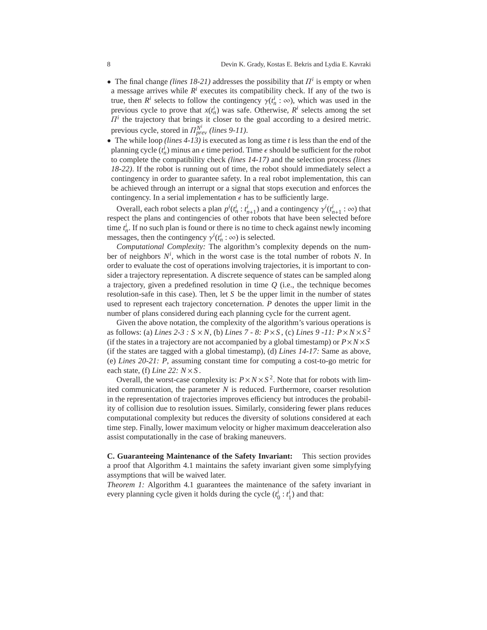- The final change *(lines 18-21)* addresses the possibility that  $\Pi^i$  is empty or when a message arrives while  $R^i$  executes its compatibility check. If any of the two is true, then  $R^i$  selects to follow the contingency  $\gamma(t_n^i : \infty)$ , which was used in the previous cycle to prove that  $x(t_n^i)$  was safe. Otherwise,  $R^i$  selects among the set  $\Pi^i$  the trajectory that brings it closer to the goal according to a desired metric. previous cycle, stored in  $\Pi_{prev}^{N^i}$  (lines 9-11).
- The while loop *(lines 4-13)* is executed as long as time *t* is less than the end of the planning cycle  $(t_n^i)$  minus an  $\epsilon$  time period. Time  $\epsilon$  should be sufficient for the robot to complete the compatibility check *(lines 14-17)* and the selection process *(lines 18-22)*. If the robot is running out of time, the robot should immediately select a contingency in order to guarantee safety. In a real robot implementation, this can be achieved through an interrupt or a signal that stops execution and enforces the contingency. In a serial implementation  $\epsilon$  has to be sufficiently large.

Overall, each robot selects a plan  $p^i(t_n^i : t_{n+1}^i)$  and a contingency  $\gamma^i(t_{n+1}^i : \infty)$  that respect the plans and contingencies of other robots that have been selected before time  $t_n^i$ . If no such plan is found or there is no time to check against newly incoming messages, then the contingency  $\gamma^i(t_n^i : \infty)$  is selected.

*Computational Complexity:* The algorithm's complexity depends on the number of neighbors  $N^i$ , which in the worst case is the total number of robots N. In order to evaluate the cost of operations involving trajectories, it is important to consider a trajectory representation. A discrete sequence of states can be sampled along a trajectory, given a predefined resolution in time *Q* (i.e., the technique becomes resolution-safe in this case). Then, let *S* be the upper limit in the number of states used to represent each trajectory conceternation. *P* denotes the upper limit in the number of plans considered during each planning cycle for the current agent.

Given the above notation, the complexity of the algorithm's various operations is as follows: (a) *Lines 2-3 : S* × *N*, (b) *Lines 7 - 8: P*×*S* , (c) *Lines 9 -11: P*× *N* ×*S* 2 (if the states in a trajectory are not accompanied by a global timestamp) or  $P \times N \times S$ (if the states are tagged with a global timestamp), (d) *Lines 14-17:* Same as above, (e) *Lines 20-21: P*, assuming constant time for computing a cost-to-go metric for each state, (f) *Line 22: N* ×*S* .

Overall, the worst-case complexity is:  $P \times N \times S^2$ . Note that for robots with limited communication, the parameter *N* is reduced. Furthermore, coarser resolution in the representation of trajectories improves efficiency but introduces the probability of collision due to resolution issues. Similarly, considering fewer plans reduces computational complexity but reduces the diversity of solutions considered at each time step. Finally, lower maximum velocity or higher maximum deacceleration also assist computationally in the case of braking maneuvers.

**C. Guaranteeing Maintenance of the Safety Invariant:** This section provides a proof that Algorithm 4.1 maintains the safety invariant given some simplyfying assymptions that will be waived later.

*Theorem 1:* Algorithm 4.1 guarantees the maintenance of the safety invariant in every planning cycle given it holds during the cycle  $(t_0^i : t_1^i)$  and that: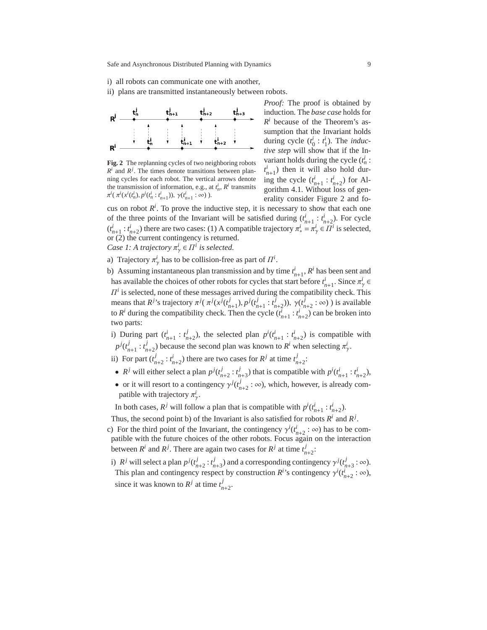Safe and Asynchronous Distributed Planning with Dynamics 9

i) all robots can communicate one with another,

ii) plans are transmitted instantaneously between robots.



**Fig. 2** The replanning cycles of two neighboring robots  $R^i$  and  $R^j$ . The times denote transitions between planning cycles for each robot. The vertical arrows denote the transmission of information, e.g., at  $t_n^i$ ,  $R^i$  transmits  $\pi^{i}(\pi^{i}(x^{i}(t_{n}^{i}), p^{i}(t_{n}^{i}: t_{n+1}^{i})), \gamma(t_{n+1}^{i}:\infty)).$ 

*Proof:* The proof is obtained by induction. The *base case* holds for  $R<sup>i</sup>$  because of the Theorem's assumption that the Invariant holds during cycle  $(t_0^i : t_1^i)$ . The *inductive step* will show that if the Invariant holds during the cycle  $(t_n^i)$ :  $t_{n+1}^i$ ) then it will also hold during the cycle  $(t_{n+1}^i : t_{n+2}^i)$  for Algorithm 4.1. Without loss of generality consider Figure 2 and fo-

cus on robot  $R^i$ . To prove the inductive step, it is necessary to show that each one of the three points of the Invariant will be satisfied during  $(t_{n+1}^i : t_{n+2}^i)$ . For cycle  $(t_{n+1}^i : t_{n+2}^i)$  there are two cases: (1) A compatible trajectory  $\pi^i_* = \pi^i_\gamma \in \Pi^i$  is selected, or (2) the current contingency is returned. *Case 1: A trajectory*  $\pi^i_\gamma \in \Pi^i$  *is selected.* 

a) Trajectory  $\pi^i_\gamma$  has to be collision-free as part of  $\Pi^i$ .

b) Assuming instantaneous plan transmission and by time  $t_{n+1}^i$ ,  $R^i$  has been sent and has available the choices of other robots for cycles that start before  $t_{n+1}^i$ . Since  $\pi_\gamma^i \in$  $\Pi^i$  is selected, none of these messages arrived during the compatibility check. This means that  $R^j$ 's trajectory  $\pi^j(\pi^j(x^j(t_n))$  $\frac{j}{n+1}$ ),  $p^{j}(t_n^j)$  $\frac{j}{n+1}$  :  $t_n^j$  $\frac{j}{n+2}$ )), γ(*t*<sup>*j*</sup><sub>*n*</sub>  $\frac{J}{n+2}$  : ∞) is available to  $R^i$  during the compatibility check. Then the cycle  $(t^i_{n+1} : t^i_{n+2})$  can be broken into two parts:

- i) During part  $(t_{n+1}^i : t_n^j)$  $\int_{n+2}^{j}$ , the selected plan  $p^{i}(t_{n+1}^{i}: t_{n+2}^{i})$  is compatible with  $p^j(t)$  $\frac{j}{n+1}$  :  $t_n^j$  $n_{n+2}$ ) because the second plan was known to  $R^i$  when selecting  $\pi^i_{\gamma}$ .
- ii) For part  $(t_n^j)$  $\int_{n+2}^{j}$ :  $t_{n+2}^{i}$ ) there are two cases for *R*<sup>j</sup> at time  $t_n^{j}$ *n*+2 :
- $R^j$  will either select a plan  $p^j(t_n^j)$  $\frac{j}{n+2}$  :  $t_n^j$ *n*<sup>+</sup><sub>2</sub>), that is compatible with  $p^{i}(t_{n+1}^{i}: t_{n+2}^{i}),$
- or it will resort to a contingency  $\gamma^{j}(t_n)$  $\sum_{n+2}^J$ :  $\infty$ ), which, however, is already compatible with trajectory  $\pi^i_y$ .

In both cases,  $R^j$  will follow a plan that is compatible with  $p^i(t_{n+1}^i : t_{n+2}^i)$ .

Thus, the second point b) of the Invariant is also satisfied for robots  $R^i$  and  $R^j$ .

- c) For the third point of the Invariant, the contingency  $\gamma^i(t^i_{n+2} : \infty)$  has to be compatible with the future choices of the other robots. Focus again on the interaction between  $R^i$  and  $R^j$ . There are again two cases for  $R^j$  at time  $t^j_n$ *n*+2 :
- i)  $R^j$  will select a plan  $p^j(t_n^j)$  $\frac{j}{n+2}$  :  $t_n^j$  $\int_{n+3}^{j}$ ) and a corresponding contingency  $\gamma^{j}(t_n)$  $_{n+3}^{J}$  : ∞). This plan and contingency respect by construction  $R^i$ 's contingency  $\gamma^i(t_{n+2}^i: \infty)$ , since it was known to  $R^j$  at time  $t_n^j$ *n*+2 .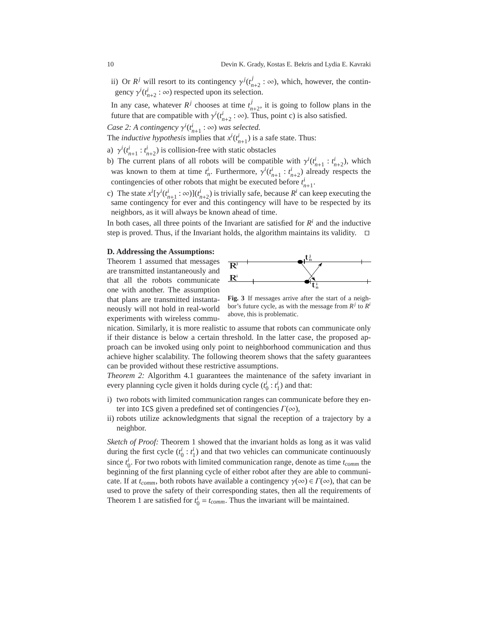- ii) Or  $R^j$  will resort to its contingency  $\gamma^j(t_n^j)$  $\sum_{n+2}^{J}$  :  $\infty$ ), which, however, the contingency  $\gamma^{i}$ ( $t_{n+2}^{i}$ : ∞) respected upon its selection.
- In any case, whatever  $R^j$  chooses at time  $t^j$  $_{n+2}^J$ , it is going to follow plans in the future that are compatible with  $\gamma^i(t_{n+2}^i : \infty)$ . Thus, point c) is also satisfied.

*Case 2: A contingency*  $\gamma^{i}(t_{n+1}^{i} : \infty)$  *was selected.* 

- The *inductive hypothesis* implies that  $x^{i}(t_{n+1}^{i})$  is a safe state. Thus:
- a)  $\gamma^{i}(t_{n+1}^{i}: t_{n+2}^{i})$  is collision-free with static obstacles
- b) The current plans of all robots will be compatible with  $\gamma^{i}(t_{n+1}^{i}: t_{n+2}^{i})$ , which was known to them at time  $t_n^i$ . Furthermore,  $\gamma^i(t_{n+1}^i : t_{n+2}^i)$  already respects the contingencies of other robots that might be executed before  $t_{n+1}^i$ .
- c) The state  $x^i[\gamma^i(t_{n+1}^i:\infty)](t_{n+2}^i)$  is trivially safe, because  $R^i$  can keep executing the same contingency for ever and this contingency will have to be respected by its neighbors, as it will always be known ahead of time.

In both cases, all three points of the Invariant are satisfied for  $R<sup>i</sup>$  and the inductive step is proved. Thus, if the Invariant holds, the algorithm maintains its validity. □

#### **D. Addressing the Assumptions:**

Theorem 1 assumed that messages are transmitted instantaneously and that all the robots communicate one with another. The assumption that plans are transmitted instantaneously will not hold in real-world experiments with wireless commu-



**Fig. 3** If messages arrive after the start of a neighbor's future cycle, as with the message from  $R^j$  to  $R^i$ above, this is problematic.

nication. Similarly, it is more realistic to assume that robots can communicate only if their distance is below a certain threshold. In the latter case, the proposed approach can be invoked using only point to neighborhood communication and thus achieve higher scalability. The following theorem shows that the safety guarantees can be provided without these restrictive assumptions.

*Theorem 2:* Algorithm 4.1 guarantees the maintenance of the safety invariant in every planning cycle given it holds during cycle  $(t_0^i : t_1^i)$  and that:

- i) two robots with limited communication ranges can communicate before they enter into ICS given a predefined set of contingencies  $\Gamma(\infty)$ ,
- ii) robots utilize acknowledgments that signal the reception of a trajectory by a neighbor.

*Sketch of Proof:* Theorem 1 showed that the invariant holds as long as it was valid during the first cycle  $(t_0^i : t_1^i)$  and that two vehicles can communicate continuously since  $t_0^i$ . For two robots with limited communication range, denote as time  $t_{comm}$  the beginning of the first planning cycle of either robot after they are able to communicate. If at  $t_{comm}$ , both robots have available a contingency  $\gamma(\infty) \in \Gamma(\infty)$ , that can be used to prove the safety of their corresponding states, then all the requirements of Theorem 1 are satisfied for  $t_0^i = t_{comm}$ . Thus the invariant will be maintained.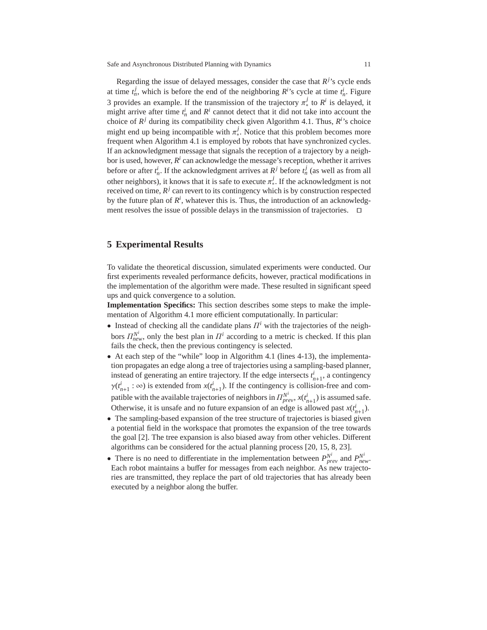Regarding the issue of delayed messages, consider the case that *R j* 's cycle ends at time  $t_n^j$ , which is before the end of the neighboring  $R^i$ 's cycle at time  $t_n^j$ . Figure 3 provides an example. If the transmission of the trajectory  $\pi^j_*$  to  $R^i$  is delayed, it  $\sum_{i=1}^{n} \sum_{i=1}^{n} \sum_{i=1}^{n} \sum_{i=1}^{n} \sum_{i=1}^{n} \sum_{i=1}^{n} \sum_{i=1}^{n} \sum_{i=1}^{n} \sum_{i=1}^{n} \sum_{i=1}^{n} \sum_{i=1}^{n} \sum_{i=1}^{n} \sum_{i=1}^{n} \sum_{i=1}^{n} \sum_{i=1}^{n} \sum_{i=1}^{n} \sum_{i=1}^{n} \sum_{i=1}^{n} \sum_{i=1}^{n} \sum_{i=1}^{n} \sum_{i=1}^{n} \sum_{i=1}^{n}$ choice of  $R^j$  during its compatibility check given Algorithm 4.1. Thus,  $R^i$ 's choice might end up being incompatible with  $\pi^j_*$ ∗ . Notice that this problem becomes more frequent when Algorithm 4.1 is employed by robots that have synchronized cycles. If an acknowledgment message that signals the reception of a trajectory by a neighbor is used, however, *R i* can acknowledge the message's reception, whether it arrives before or after  $t_n^i$ . If the acknowledgment arrives at  $R^j$  before  $t_n^j$  (as well as from all other neighbors), it knows that it is safe to execute  $\pi^j_*$  $\frac{f}{f}$ . If the acknowledgment is not received on time,  $R^j$  can revert to its contingency which is by construction respected by the future plan of  $R^i$ , whatever this is. Thus, the introduction of an acknowledgment resolves the issue of possible delays in the transmission of trajectories. ⊓⊔

### **5 Experimental Results**

To validate the theoretical discussion, simulated experiments were conducted. Our first experiments revealed performance deficits, however, practical modifications in the implementation of the algorithm were made. These resulted in significant speed ups and quick convergence to a solution.

**Implementation Specifics:** This section describes some steps to make the implementation of Algorithm 4.1 more efficient computationally. In particular:

- Instead of checking all the candidate plans  $\Pi^i$  with the trajectories of the neighbors  $\prod_{n \in \mathbb{N}}^{N^i}$ , only the best plan in  $\Pi^i$  according to a metric is checked. If this plan fails the check, then the previous contingency is selected.
- At each step of the "while" loop in Algorithm 4.1 (lines 4-13), the implementation propagates an edge along a tree of trajectories using a sampling-based planner, instead of generating an entire trajectory. If the edge intersects  $t_{n+1}^i$ , a contingency  $\gamma(t_{n+1}^i: \infty)$  is extended from  $x(t_{n+1}^i)$ . If the contingency is collision-free and compatible with the available trajectories of neighbors in  $\Pi_{prev}^{N^i}$ ,  $x(t_{n+1}^i)$  is assumed safe. Otherwise, it is unsafe and no future expansion of an edge is allowed past  $x(t_{n+1}^i)$ .
- The sampling-based expansion of the tree structure of trajectories is biased given a potential field in the workspace that promotes the expansion of the tree towards the goal [2]. The tree expansion is also biased away from other vehicles. Different algorithms can be considered for the actual planning process [20, 15, 8, 23].
- There is no need to differentiate in the implementation between  $P_{prev}^{N^i}$  and  $P_{new}^{N^i}$ . Each robot maintains a buffer for messages from each neighbor. As new trajectories are transmitted, they replace the part of old trajectories that has already been executed by a neighbor along the buffer.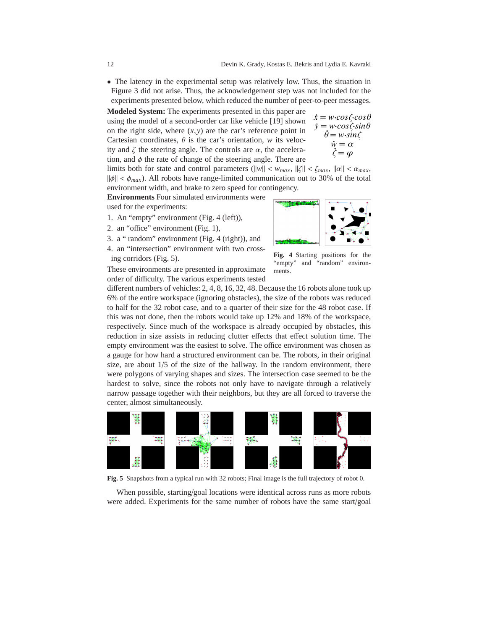• The latency in the experimental setup was relatively low. Thus, the situation in Figure 3 did not arise. Thus, the acknowledgement step was not included for the experiments presented below, which reduced the number of peer-to-peer messages.

**Modeled System:** The experiments presented in this paper are using the model of a second-order car like vehicle [19] shown on the right side, where  $(x, y)$  are the car's reference point in Cartesian coordinates,  $\theta$  is the car's orientation, *w* its velocity and  $\zeta$  the steering angle. The controls are  $\alpha$ , the acceleration, and  $\phi$  the rate of change of the steering angle. There are

$$
\begin{array}{l}\n\dot{x} = w \cdot cos \zeta \cdot cos \theta \\
\dot{y} = w \cdot cos \zeta \cdot sin \theta \\
\dot{\theta} = w \cdot sin \zeta \\
\dot{w} = \alpha \\
\dot{\zeta} = \varphi\n\end{array}
$$

limits both for state and control parameters  $(||w|| < w_{max}, ||\zeta|| < \zeta_{max}, ||\alpha|| < \alpha_{max}$  $\|\phi\| < \phi_{max}$ ). All robots have range-limited communication out to 30% of the total environment width, and brake to zero speed for contingency.

**Environments** Four simulated environments were used for the experiments:

- 1. An "empty" environment (Fig. 4 (left)),
- 2. an "office" environment (Fig. 1),
- 3. a " random" environment (Fig. 4 (right)), and
- 4. an "intersection" environment with two crossing corridors (Fig. 5).

**Fig. 4** Starting positions for the "empty" and "random" environments.

These environments are presented in approximate order of difficulty. The various experiments tested

different numbers of vehicles: 2, 4, 8, 16, 32, 48. Because the 16 robots alone took up 6% of the entire workspace (ignoring obstacles), the size of the robots was reduced to half for the 32 robot case, and to a quarter of their size for the 48 robot case. If this was not done, then the robots would take up 12% and 18% of the workspace, respectively. Since much of the workspace is already occupied by obstacles, this reduction in size assists in reducing clutter effects that effect solution time. The empty environment was the easiest to solve. The office environment was chosen as a gauge for how hard a structured environment can be. The robots, in their original size, are about 1/5 of the size of the hallway. In the random environment, there were polygons of varying shapes and sizes. The intersection case seemed to be the hardest to solve, since the robots not only have to navigate through a relatively narrow passage together with their neighbors, but they are all forced to traverse the center, almost simultaneously.



**Fig. 5** Snapshots from a typical run with 32 robots; Final image is the full trajectory of robot 0.

When possible, starting/goal locations were identical across runs as more robots were added. Experiments for the same number of robots have the same start/goal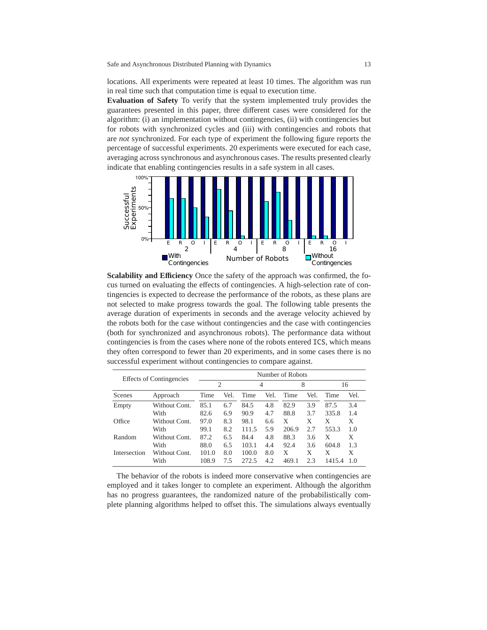locations. All experiments were repeated at least 10 times. The algorithm was run in real time such that computation time is equal to execution time.

**Evaluation of Safety** To verify that the system implemented truly provides the guarantees presented in this paper, three different cases were considered for the algorithm: (i) an implementation without contingencies, (ii) with contingencies but for robots with synchronized cycles and (iii) with contingencies and robots that are *not* synchronized. For each type of experiment the following figure reports the percentage of successful experiments. 20 experiments were executed for each case, averaging across synchronous and asynchronous cases. The results presented clearly indicate that enabling contingencies results in a safe system in all cases.



**Scalability and Efficiency** Once the safety of the approach was confirmed, the focus turned on evaluating the effects of contingencies. A high-selection rate of contingencies is expected to decrease the performance of the robots, as these plans are not selected to make progress towards the goal. The following table presents the average duration of experiments in seconds and the average velocity achieved by the robots both for the case without contingencies and the case with contingencies (both for synchronized and asynchronous robots). The performance data without contingencies is from the cases where none of the robots entered ICS, which means they often correspond to fewer than 20 experiments, and in some cases there is no successful experiment without contingencies to compare against.

| <b>Effects of Contingencies</b> |               | Number of Robots |      |       |      |       |      |        |      |  |
|---------------------------------|---------------|------------------|------|-------|------|-------|------|--------|------|--|
|                                 |               | $\overline{2}$   |      | 4     |      | 8     |      | 16     |      |  |
| Scenes                          | Approach      | Time             | Vel. | Time  | Vel. | Time  | Vel. | Time   | Vel. |  |
| Empty                           | Without Cont. | 85.1             | 6.7  | 84.5  | 4.8  | 82.9  | 3.9  | 87.5   | 3.4  |  |
|                                 | With          | 82.6             | 6.9  | 90.9  | 4.7  | 88.8  | 3.7  | 335.8  | 1.4  |  |
| Office                          | Without Cont. | 97.0             | 8.3  | 98.1  | 6.6  | X     | X    | X      | X    |  |
|                                 | With          | 99.1             | 8.2  | 111.5 | 5.9  | 206.9 | 2.7  | 553.3  | 1.0  |  |
| Random                          | Without Cont. | 87.2             | 6.5  | 84.4  | 4.8  | 88.3  | 3.6  | X      | X    |  |
|                                 | With          | 88.0             | 6.5  | 103.1 | 4.4  | 92.4  | 3.6  | 604.8  | 1.3  |  |
| Intersection                    | Without Cont. | 101.0            | 8.0  | 100.0 | 8.0  | X     | X    | X      | X    |  |
|                                 | With          | 108.9            | 7.5  | 272.5 | 4.2  | 469.1 | 2.3  | 1415.4 | 1.0  |  |

The behavior of the robots is indeed more conservative when contingencies are employed and it takes longer to complete an experiment. Although the algorithm has no progress guarantees, the randomized nature of the probabilistically complete planning algorithms helped to offset this. The simulations always eventually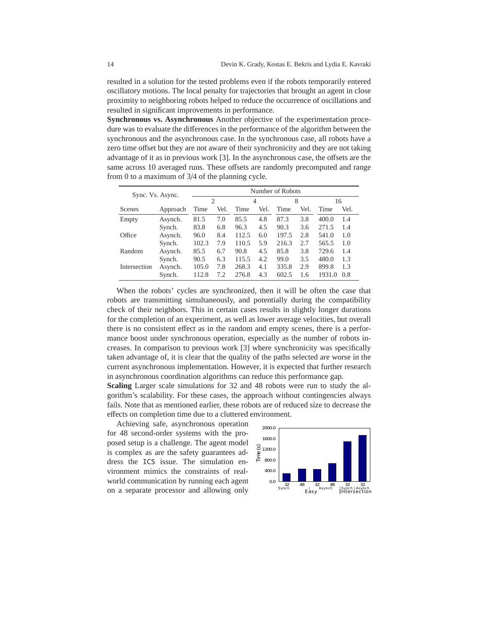resulted in a solution for the tested problems even if the robots temporarily entered oscillatory motions. The local penalty for trajectories that brought an agent in close proximity to neighboring robots helped to reduce the occurrence of oscillations and resulted in significant improvements in performance.

**Synchronous vs. Asynchronous** Another objective of the experimentation procedure was to evaluate the differences in the performance of the algorithm between the synchronous and the asynchronous case. In the synchronous case, all robots have a zero time offset but they are not aware of their synchronicity and they are not taking advantage of it as in previous work [3]. In the asynchronous case, the offsets are the same across 10 averaged runs. These offsets are randomly precomputed and range from 0 to a maximum of 3/4 of the planning cycle.

| Sync. Vs. Async. |          | Number of Robots |      |       |      |       |      |        |      |  |
|------------------|----------|------------------|------|-------|------|-------|------|--------|------|--|
|                  |          | $\overline{c}$   |      | 4     |      | 8     |      | 16     |      |  |
| Scenes           | Approach | Time             | Vel. | Time  | Vel. | Time  | Vel. | Time   | Vel. |  |
| Empty            | Asynch.  | 81.5             | 7.0  | 85.5  | 4.8  | 87.3  | 3.8  | 400.0  | 1.4  |  |
|                  | Synch.   | 83.8             | 6.8  | 96.3  | 4.5  | 90.3  | 3.6  | 271.5  | 1.4  |  |
| Office           | Asynch.  | 96.0             | 8.4  | 112.5 | 6.0  | 197.5 | 2.8  | 541.0  | 1.0  |  |
|                  | Synch.   | 102.3            | 7.9  | 110.5 | 5.9  | 216.3 | 2.7  | 565.5  | 1.0  |  |
| Random           | Asynch.  | 85.5             | 6.7  | 90.8  | 4.5  | 85.8  | 3.8  | 729.6  | 1.4  |  |
|                  | Synch.   | 90.5             | 6.3  | 115.5 | 4.2  | 99.0  | 3.5  | 480.0  | 1.3  |  |
| Intersection     | Asynch.  | 105.0            | 7.8  | 268.3 | 4.1  | 335.8 | 2.9  | 899.8  | 1.3  |  |
|                  | Synch.   | 112.8            | 7.2  | 276.8 | 4.3  | 602.5 | 1.6  | 1931.0 | 0.8  |  |

When the robots' cycles are synchronized, then it will be often the case that robots are transmitting simultaneously, and potentially during the compatibility check of their neighbors. This in certain cases results in slightly longer durations for the completion of an experiment, as well as lower average velocities, but overall there is no consistent effect as in the random and empty scenes, there is a performance boost under synchronous operation, especially as the number of robots increases. In comparison to previous work [3] where synchronicity was specifically taken advantage of, it is clear that the quality of the paths selected are worse in the current asynchronous implementation. However, it is expected that further research in asynchronous coordination algorithms can reduce this performance gap.

**Scaling** Larger scale simulations for 32 and 48 robots were run to study the algorithm's scalability. For these cases, the approach without contingencies always fails. Note that as mentioned earlier, these robots are of reduced size to decrease the effects on completion time due to a cluttered environment.

Achieving safe, asynchronous operation for 48 second-order systems with the proposed setup is a challenge. The agent model is complex as are the safety guarantees address the ICS issue. The simulation environment mimics the constraints of realworld communication by running each agent on a separate processor and allowing only

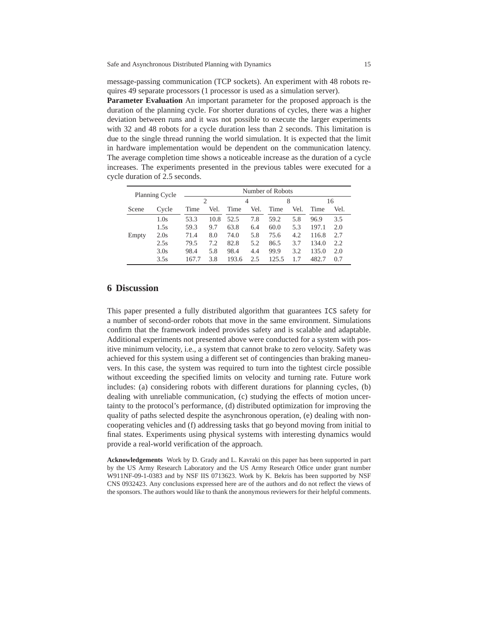message-passing communication (TCP sockets). An experiment with 48 robots requires 49 separate processors (1 processor is used as a simulation server).

**Parameter Evaluation** An important parameter for the proposed approach is the duration of the planning cycle. For shorter durations of cycles, there was a higher deviation between runs and it was not possible to execute the larger experiments with 32 and 48 robots for a cycle duration less than 2 seconds. This limitation is due to the single thread running the world simulation. It is expected that the limit in hardware implementation would be dependent on the communication latency. The average completion time shows a noticeable increase as the duration of a cycle increases. The experiments presented in the previous tables were executed for a cycle duration of 2.5 seconds.

| Planning Cycle |       | Number of Robots |      |       |      |       |      |       |      |  |
|----------------|-------|------------------|------|-------|------|-------|------|-------|------|--|
|                |       | 2                |      | 4     |      | 8     |      | 16    |      |  |
| Scene          | Cycle | Time             | Vel. | Time  | Vel. | Time  | Vel. | Time  | Vel. |  |
|                | 1.0s  | 53.3             | 10.8 | 52.5  | 7.8  | 59.2  | 5.8  | 96.9  | 3.5  |  |
|                | 1.5s  | 59.3             | 9.7  | 63.8  | 6.4  | 60.0  | 5.3  | 197.1 | 2.0  |  |
| Empty          | 2.0s  | 71.4             | 8.0  | 74.0  | 5.8  | 75.6  | 4.2  | 116.8 | 2.7  |  |
|                | 2.5s  | 79.5             | 7.2  | 82.8  | 5.2  | 86.5  | 3.7  | 134.0 | 2.2  |  |
|                | 3.0s  | 98.4             | 5.8  | 98.4  | 4.4  | 99.9  | 3.2  | 135.0 | 2.0  |  |
|                | 3.5s  | 167.7            | 3.8  | 193.6 | 2.5  | 125.5 |      | 482.7 | 0.7  |  |

## **6 Discussion**

This paper presented a fully distributed algorithm that guarantees ICS safety for a number of second-order robots that move in the same environment. Simulations confirm that the framework indeed provides safety and is scalable and adaptable. Additional experiments not presented above were conducted for a system with positive minimum velocity, i.e., a system that cannot brake to zero velocity. Safety was achieved for this system using a different set of contingencies than braking maneuvers. In this case, the system was required to turn into the tightest circle possible without exceeding the specified limits on velocity and turning rate. Future work includes: (a) considering robots with different durations for planning cycles, (b) dealing with unreliable communication, (c) studying the effects of motion uncertainty to the protocol's performance, (d) distributed optimization for improving the quality of paths selected despite the asynchronous operation, (e) dealing with noncooperating vehicles and (f) addressing tasks that go beyond moving from initial to final states. Experiments using physical systems with interesting dynamics would provide a real-world verification of the approach.

**Acknowledgements** Work by D. Grady and L. Kavraki on this paper has been supported in part by the US Army Research Laboratory and the US Army Research Office under grant number W911NF-09-1-0383 and by NSF IIS 0713623. Work by K. Bekris has been supported by NSF CNS 0932423. Any conclusions expressed here are of the authors and do not reflect the views of the sponsors. The authors would like to thank the anonymous reviewers for their helpful comments.